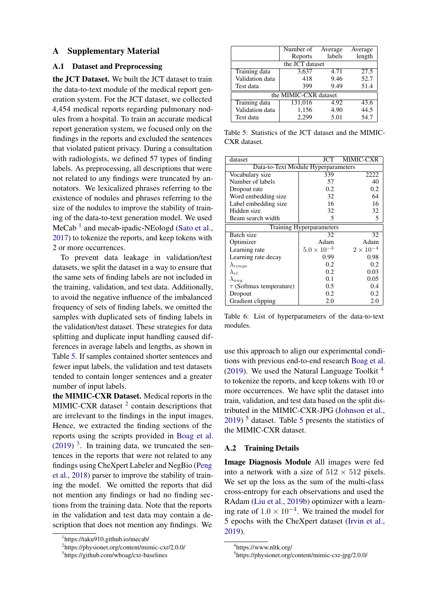## A Supplementary Material

## A.1 Dataset and Preprocessing

the JCT Dataset. We built the JCT dataset to train the data-to-text module of the medical report generation system. For the JCT dataset, we collected 4,454 medical reports regarding pulmonary nodules from a hospital. To train an accurate medical report generation system, we focused only on the findings in the reports and excluded the sentences that violated patient privacy. During a consultation with radiologists, we defined 57 types of finding labels. As preprocessing, all descriptions that were not related to any findings were truncated by annotators. We lexicalized phrases referring to the existence of nodules and phrases referring to the size of the nodules to improve the stability of training of the data-to-text generation model. We used MeCab<sup> $1$ </sup> and mecab-ipadic-NEologd [\(Sato et al.,](#page--1-1) [2017\)](#page--1-1) to tokenize the reports, and keep tokens with 2 or more occurrences.

To prevent data leakage in validation/test datasets, we split the dataset in a way to ensure that the same sets of finding labels are not included in the training, validation, and test data. Additionally, to avoid the negative influence of the imbalanced frequency of sets of finding labels, we omitted the samples with duplicated sets of finding labels in the validation/test dataset. These strategies for data splitting and duplicate input handling caused differences in average labels and lengths, as shown in Table [5.](#page--1-2) If samples contained shorter sentences and fewer input labels, the validation and test datasets tended to contain longer sentences and a greater number of input labels.

the MIMIC-CXR Dataset. Medical reports in the MIMIC-CXR dataset  $2$  contain descriptions that are irrelevant to the findings in the input images. Hence, we extracted the finding sections of the reports using the scripts provided in [Boag et al.](#page--1-4)  $(2019)$ <sup>3</sup>. In training data, we truncated the sentences in the reports that were not related to any findings using CheXpert Labeler and NegBio [\(Peng](#page--1-6) [et al.,](#page--1-6) [2018\)](#page--1-6) parser to improve the stability of training the model. We omitted the reports that did not mention any findings or had no finding sections from the training data. Note that the reports in the validation and test data may contain a description that does not mention any findings. We

|                       | Number of Average |        | Average |  |  |  |
|-----------------------|-------------------|--------|---------|--|--|--|
|                       | Reports           | labels | length  |  |  |  |
| the JCT dataset       |                   |        |         |  |  |  |
| Training data         | 3,637             | 4.71   | 27.5    |  |  |  |
| Validation data       | 418               | 9.46   | 52.7    |  |  |  |
| Test data             | 399               | 9.49   | 51.4    |  |  |  |
| the MIMIC-CXR dataset |                   |        |         |  |  |  |
| Training data         | 131,016           | 4.92   | 43.6    |  |  |  |
| Validation data       | 1,156             | 4.90   | 44.5    |  |  |  |
| Test data             | 2.299             | 5.01   | 54.7    |  |  |  |

Table 5: Statistics of the JCT dataset and the MIMIC-CXR dataset.

| dataset                             | JCT                  | <b>MIMIC-CXR</b> |  |  |  |
|-------------------------------------|----------------------|------------------|--|--|--|
| Data-to-Text Module Hyperparameters |                      |                  |  |  |  |
| Vocabulary size                     | 339                  | 2222             |  |  |  |
| Number of labels                    | 57                   | 40               |  |  |  |
| Dropout rate                        | 0.2                  | 0.2              |  |  |  |
| Word embedding size.                | 32                   | 64               |  |  |  |
| Label embedding size                | 16                   | 16               |  |  |  |
| Hidden size                         | 32                   | 32               |  |  |  |
| Beam search width                   | 5                    | 5                |  |  |  |
| Training Hyperparameters            |                      |                  |  |  |  |
| Batch size                          | 32                   | 32               |  |  |  |
| Optimizer                           | Adam                 | Adam             |  |  |  |
| Learning rate                       | $5.0 \times 10^{-3}$ | $2\times10^{-4}$ |  |  |  |
| Learning rate decay                 | 0.99                 | 0.98             |  |  |  |
| $\lambda_{rouge}$                   | 0.2                  | 0.2              |  |  |  |
| $\lambda_{rl}$                      | 0.2                  | 0.03             |  |  |  |
| $\lambda_{aug}$                     | 0.1                  | 0.05             |  |  |  |
| $\tau$ (Softmax temperature)        | 0.5                  | 0.4              |  |  |  |
| Dropout                             | 0.2                  | 0.2              |  |  |  |
| Gradient clipping                   | 2.0                  | 2.0              |  |  |  |

Table 6: List of hyperparameters of the data-to-text modules.

use this approach to align our experimental conditions with previous end-to-end research [Boag et al.](#page--1-4) [\(2019\)](#page--1-4). We used the Natural Language Toolkit  $4$ to tokenize the reports, and keep tokens with 10 or more occurrences. We have split the dataset into train, validation, and test data based on the split distributed in the MIMIC-CXR-JPG [\(Johnson et al.,](#page--1-8)  $2019$ <sup>[5](#page--1-2)</sup> dataset. Table 5 presents the statistics of the MIMIC-CXR dataset.

## A.2 Training Details

Image Diagnosis Module All images were fed into a network with a size of  $512 \times 512$  pixels. We set up the loss as the sum of the multi-class cross-entropy for each observations and used the RAdam [\(Liu et al.,](#page--1-10) [2019b\)](#page--1-10) optimizer with a learning rate of  $1.0 \times 10^{-4}$ . We trained the model for 5 epochs with the CheXpert dataset [\(Irvin et al.,](#page--1-11) [2019\)](#page--1-11).

<sup>1</sup> https://taku910.github.io/mecab/

<sup>2</sup> https://physionet.org/content/mimic-cxr/2.0.0/

<sup>3</sup> https://github.com/wboag/cxr-baselines

<sup>4</sup> https://www.nltk.org/

<sup>5</sup> https://physionet.org/content/mimic-cxr-jpg/2.0.0/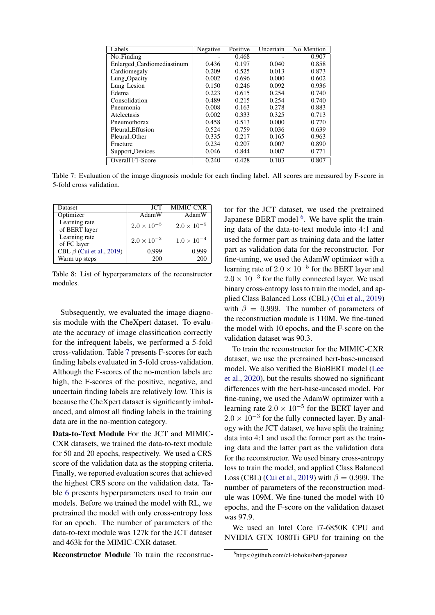| Labels                     | Negative | Positive | Uncertain | No_Mention |
|----------------------------|----------|----------|-----------|------------|
| No_Finding                 |          | 0.468    |           | 0.907      |
| Enlarged_Cardiomediastinum | 0.436    | 0.197    | 0.040     | 0.858      |
| Cardiomegaly               | 0.209    | 0.525    | 0.013     | 0.873      |
| Lung <sub>-Opacity</sub>   | 0.002    | 0.696    | 0.000     | 0.602      |
| Lung_Lesion                | 0.150    | 0.246    | 0.092     | 0.936      |
| Edema                      | 0.223    | 0.615    | 0.254     | 0.740      |
| Consolidation              | 0.489    | 0.215    | 0.254     | 0.740      |
| Pneumonia                  | 0.008    | 0.163    | 0.278     | 0.883      |
| Atelectasis                | 0.002    | 0.333    | 0.325     | 0.713      |
| Pneumothorax               | 0.458    | 0.513    | 0.000     | 0.770      |
| Pleural_Effusion           | 0.524    | 0.759    | 0.036     | 0.639      |
| Pleural Other              | 0.335    | 0.217    | 0.165     | 0.963      |
| Fracture                   | 0.234    | 0.207    | 0.007     | 0.890      |
| Support_Devices            | 0.046    | 0.844    | 0.007     | 0.771      |
| Overall F1-Score           | 0.240    | 0.428    | 0.103     | 0.807      |

Table 7: Evaluation of the image diagnosis module for each finding label. All scores are measured by F-score in 5-fold cross validation.

| Dataset                        | <b>JCT</b>           | MIMIC-CXR            |
|--------------------------------|----------------------|----------------------|
| Optimizer                      | AdamW                | AdamW                |
| Learning rate<br>of BERT layer | $2.0 \times 10^{-5}$ | $2.0 \times 10^{-5}$ |
| Learning rate<br>of FC layer   | $2.0 \times 10^{-3}$ | $1.0 \times 10^{-4}$ |
| CBL $\beta$ (Cui et al., 2019) | 0.999                | 0.999                |
| Warm up steps                  | 200                  | 200                  |

Table 8: List of hyperparameters of the reconstructor modules.

Subsequently, we evaluated the image diagnosis module with the CheXpert dataset. To evaluate the accuracy of image classification correctly for the infrequent labels, we performed a 5-fold cross-validation. Table [7](#page--1-13) presents F-scores for each finding labels evaluated in 5-fold cross-validation. Although the F-scores of the no-mention labels are high, the F-scores of the positive, negative, and uncertain finding labels are relatively low. This is because the CheXpert dataset is significantly imbalanced, and almost all finding labels in the training data are in the no-mention category.

Data-to-Text Module For the JCT and MIMIC-CXR datasets, we trained the data-to-text module for 50 and 20 epochs, respectively. We used a CRS score of the validation data as the stopping criteria. Finally, we reported evaluation scores that achieved the highest CRS score on the validation data. Table [6](#page--1-14) presents hyperparameters used to train our models. Before we trained the model with RL, we pretrained the model with only cross-entropy loss for an epoch. The number of parameters of the data-to-text module was 127k for the JCT dataset and 463k for the MIMIC-CXR dataset.

Reconstructor Module To train the reconstruc-

tor for the JCT dataset, we used the pretrained Japanese BERT model <sup>6</sup>. We have split the training data of the data-to-text module into 4:1 and used the former part as training data and the latter part as validation data for the reconstructor. For fine-tuning, we used the AdamW optimizer with a learning rate of  $2.0 \times 10^{-5}$  for the BERT layer and  $2.0 \times 10^{-3}$  for the fully connected layer. We used binary cross-entropy loss to train the model, and applied Class Balanced Loss (CBL) [\(Cui et al.,](#page--1-12) [2019\)](#page--1-12) with  $\beta = 0.999$ . The number of parameters of the reconstruction module is 110M. We fine-tuned the model with 10 epochs, and the F-score on the validation dataset was 90.3.

To train the reconstructor for the MIMIC-CXR dataset, we use the pretrained bert-base-uncased model. We also verified the BioBERT model [\(Lee](#page--1-15) [et al.,](#page--1-15) [2020\)](#page--1-15), but the results showed no significant differences with the bert-base-uncased model. For fine-tuning, we used the AdamW optimizer with a learning rate  $2.0 \times 10^{-5}$  for the BERT layer and  $2.0 \times 10^{-3}$  for the fully connected layer. By analogy with the JCT dataset, we have split the training data into 4:1 and used the former part as the training data and the latter part as the validation data for the reconstructor. We used binary cross-entropy loss to train the model, and applied Class Balanced Loss (CBL) [\(Cui et al.,](#page--1-12) [2019\)](#page--1-12) with  $\beta = 0.999$ . The number of parameters of the reconstruction module was 109M. We fine-tuned the model with 10 epochs, and the F-score on the validation dataset was 97.9.

We used an Intel Core i7-6850K CPU and NVIDIA GTX 1080Ti GPU for training on the

<sup>6</sup> https://github.com/cl-tohoku/bert-japanese